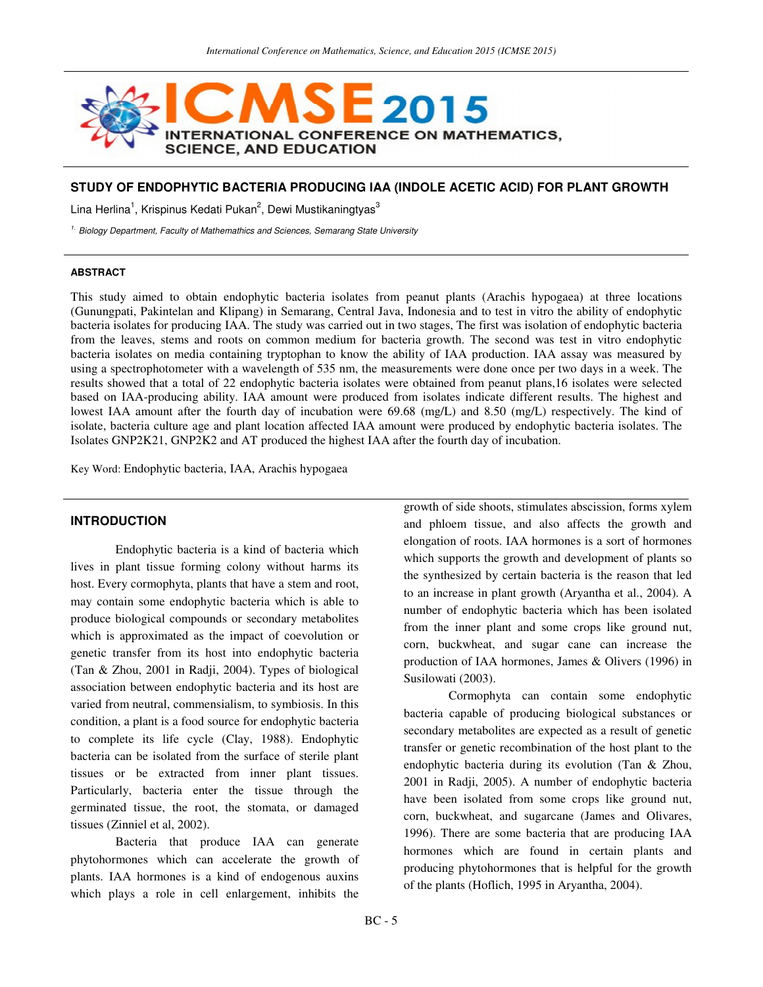

## **STUDY OF ENDOPHYTIC BACTERIA PRODUCING IAA (INDOLE ACETIC ACID) FOR PLANT GROWTH**

Lina Herlina<sup>1</sup>, Krispinus Kedati Pukan<sup>2</sup>, Dewi Mustikaningtyas<sup>3</sup>

<sup>1.</sup> Biology Department, Faculty of Mathemathics and Sciences, Semarang State University

#### **ABSTRACT**

This study aimed to obtain endophytic bacteria isolates from peanut plants (Arachis hypogaea) at three locations (Gunungpati, Pakintelan and Klipang) in Semarang, Central Java, Indonesia and to test in vitro the ability of endophytic bacteria isolates for producing IAA. The study was carried out in two stages, The first was isolation of endophytic bacteria from the leaves, stems and roots on common medium for bacteria growth. The second was test in vitro endophytic bacteria isolates on media containing tryptophan to know the ability of IAA production. IAA assay was measured by using a spectrophotometer with a wavelength of 535 nm, the measurements were done once per two days in a week. The results showed that a total of 22 endophytic bacteria isolates were obtained from peanut plans,16 isolates were selected based on IAA-producing ability. IAA amount were produced from isolates indicate different results. The highest and lowest IAA amount after the fourth day of incubation were 69.68 (mg/L) and 8.50 (mg/L) respectively. The kind of isolate, bacteria culture age and plant location affected IAA amount were produced by endophytic bacteria isolates. The Isolates GNP2K21, GNP2K2 and AT produced the highest IAA after the fourth day of incubation.

Key Word: Endophytic bacteria, IAA, Arachis hypogaea

## **INTRODUCTION**

Endophytic bacteria is a kind of bacteria which lives in plant tissue forming colony without harms its host. Every cormophyta, plants that have a stem and root, may contain some endophytic bacteria which is able to produce biological compounds or secondary metabolites which is approximated as the impact of coevolution or genetic transfer from its host into endophytic bacteria (Tan & Zhou, 2001 in Radji, 2004). Types of biological association between endophytic bacteria and its host are varied from neutral, commensialism, to symbiosis. In this condition, a plant is a food source for endophytic bacteria to complete its life cycle (Clay, 1988). Endophytic bacteria can be isolated from the surface of sterile plant tissues or be extracted from inner plant tissues. Particularly, bacteria enter the tissue through the germinated tissue, the root, the stomata, or damaged tissues (Zinniel et al, 2002).

Bacteria that produce IAA can generate phytohormones which can accelerate the growth of plants. IAA hormones is a kind of endogenous auxins which plays a role in cell enlargement, inhibits the

growth of side shoots, stimulates abscission, forms xylem and phloem tissue, and also affects the growth and elongation of roots. IAA hormones is a sort of hormones which supports the growth and development of plants so the synthesized by certain bacteria is the reason that led to an increase in plant growth (Aryantha et al., 2004). A number of endophytic bacteria which has been isolated from the inner plant and some crops like ground nut, corn, buckwheat, and sugar cane can increase the production of IAA hormones, James & Olivers (1996) in Susilowati (2003).

Cormophyta can contain some endophytic bacteria capable of producing biological substances or secondary metabolites are expected as a result of genetic transfer or genetic recombination of the host plant to the endophytic bacteria during its evolution (Tan & Zhou, 2001 in Radji, 2005). A number of endophytic bacteria have been isolated from some crops like ground nut, corn, buckwheat, and sugarcane (James and Olivares, 1996). There are some bacteria that are producing IAA hormones which are found in certain plants and producing phytohormones that is helpful for the growth of the plants (Hoflich, 1995 in Aryantha, 2004).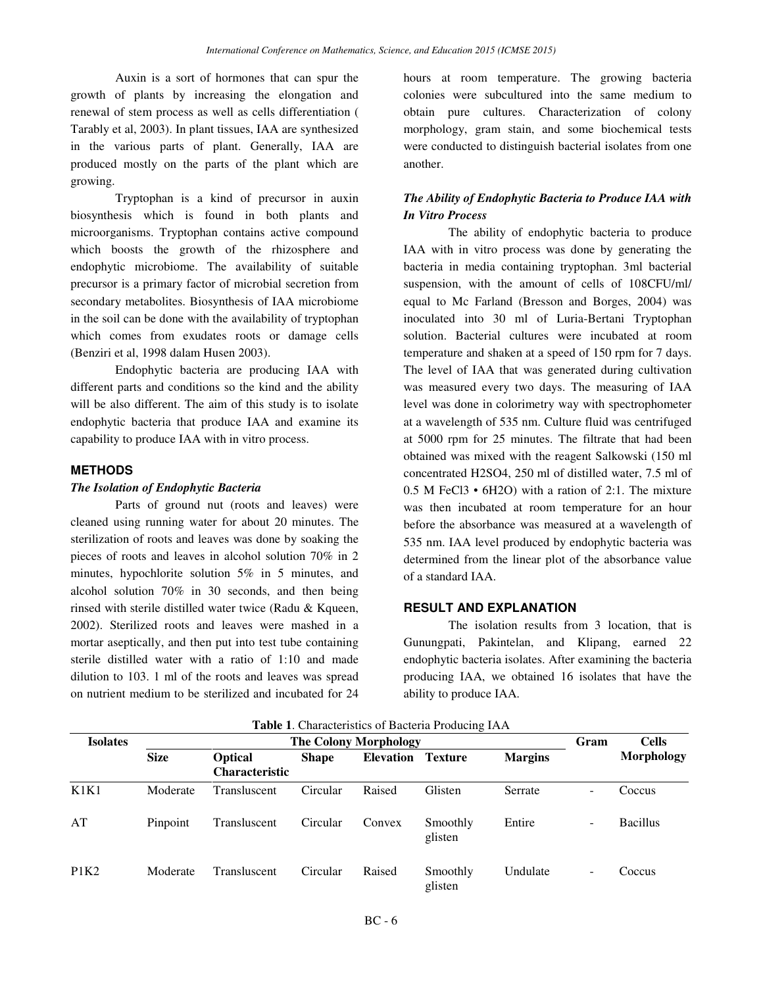Auxin is a sort of hormones that can spur the growth of plants by increasing the elongation and renewal of stem process as well as cells differentiation ( Tarably et al, 2003). In plant tissues, IAA are synthesized in the various parts of plant. Generally, IAA are produced mostly on the parts of the plant which are growing.

Tryptophan is a kind of precursor in auxin biosynthesis which is found in both plants and microorganisms. Tryptophan contains active compound which boosts the growth of the rhizosphere and endophytic microbiome. The availability of suitable precursor is a primary factor of microbial secretion from secondary metabolites. Biosynthesis of IAA microbiome in the soil can be done with the availability of tryptophan which comes from exudates roots or damage cells (Benziri et al, 1998 dalam Husen 2003).

Endophytic bacteria are producing IAA with different parts and conditions so the kind and the ability will be also different. The aim of this study is to isolate endophytic bacteria that produce IAA and examine its capability to produce IAA with in vitro process.

### **METHODS**

### *The Isolation of Endophytic Bacteria*

Parts of ground nut (roots and leaves) were cleaned using running water for about 20 minutes. The sterilization of roots and leaves was done by soaking the pieces of roots and leaves in alcohol solution 70% in 2 minutes, hypochlorite solution 5% in 5 minutes, and alcohol solution 70% in 30 seconds, and then being rinsed with sterile distilled water twice (Radu & Kqueen, 2002). Sterilized roots and leaves were mashed in a mortar aseptically, and then put into test tube containing sterile distilled water with a ratio of 1:10 and made dilution to 103. 1 ml of the roots and leaves was spread on nutrient medium to be sterilized and incubated for 24

hours at room temperature. The growing bacteria colonies were subcultured into the same medium to obtain pure cultures. Characterization of colony morphology, gram stain, and some biochemical tests were conducted to distinguish bacterial isolates from one another.

# *The Ability of Endophytic Bacteria to Produce IAA with In Vitro Process*

The ability of endophytic bacteria to produce IAA with in vitro process was done by generating the bacteria in media containing tryptophan. 3ml bacterial suspension, with the amount of cells of 108CFU/ml/ equal to Mc Farland (Bresson and Borges, 2004) was inoculated into 30 ml of Luria-Bertani Tryptophan solution. Bacterial cultures were incubated at room temperature and shaken at a speed of 150 rpm for 7 days. The level of IAA that was generated during cultivation was measured every two days. The measuring of IAA level was done in colorimetry way with spectrophometer at a wavelength of 535 nm. Culture fluid was centrifuged at 5000 rpm for 25 minutes. The filtrate that had been obtained was mixed with the reagent Salkowski (150 ml concentrated H2SO4, 250 ml of distilled water, 7.5 ml of 0.5 M FeCl3 • 6H2O) with a ration of 2:1. The mixture was then incubated at room temperature for an hour before the absorbance was measured at a wavelength of 535 nm. IAA level produced by endophytic bacteria was determined from the linear plot of the absorbance value of a standard IAA.

#### **RESULT AND EXPLANATION**

The isolation results from 3 location, that is Gunungpati, Pakintelan, and Klipang, earned 22 endophytic bacteria isolates. After examining the bacteria producing IAA, we obtained 16 isolates that have the ability to produce IAA.

| Tuble 1: Characteristics of Bacteria Froughly H H I |             |                                         |              |                  |                     |                |                          |                   |
|-----------------------------------------------------|-------------|-----------------------------------------|--------------|------------------|---------------------|----------------|--------------------------|-------------------|
| <b>Isolates</b>                                     |             | Gram                                    | <b>Cells</b> |                  |                     |                |                          |                   |
|                                                     | <b>Size</b> | <b>Optical</b><br><b>Characteristic</b> | <b>Shape</b> | <b>Elevation</b> | <b>Texture</b>      | <b>Margins</b> |                          | <b>Morphology</b> |
| K1K1                                                | Moderate    | Transluscent                            | Circular     | Raised           | Glisten             | Serrate        | $\overline{\phantom{0}}$ | Coccus            |
| AT                                                  | Pinpoint    | Transluscent                            | Circular     | Convex           | Smoothly<br>glisten | Entire         | -                        | <b>Bacillus</b>   |
| P1K2                                                | Moderate    | Transluscent                            | Circular     | Raised           | Smoothly<br>glisten | Undulate       | -                        | Coccus            |

**Table 1**. Characteristics of Bacteria Producing IAA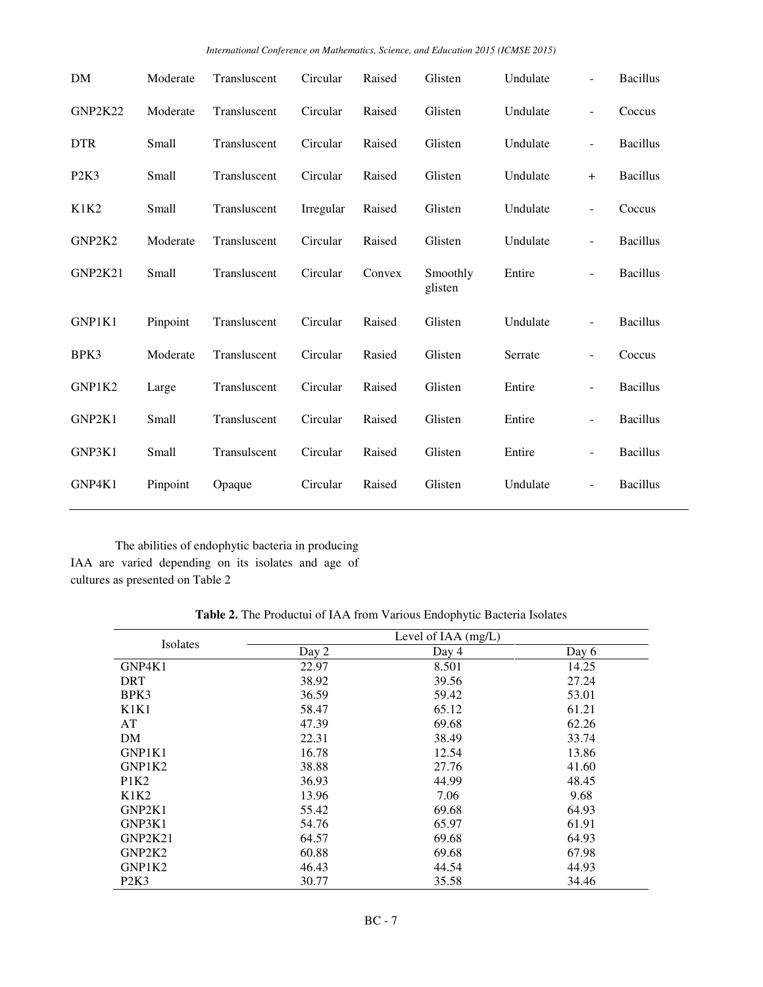|  | International Conference on Mathematics, Science, and Education 2015 (ICMSE 2015) |  |  |
|--|-----------------------------------------------------------------------------------|--|--|
|--|-----------------------------------------------------------------------------------|--|--|

| DM         | Moderate | Transluscent | Circular  | Raised | Glisten             | Undulate | $\overline{\phantom{0}}$ | <b>Bacillus</b> |
|------------|----------|--------------|-----------|--------|---------------------|----------|--------------------------|-----------------|
| GNP2K22    | Moderate | Transluscent | Circular  | Raised | Glisten             | Undulate | $\overline{\phantom{a}}$ | Coccus          |
| <b>DTR</b> | Small    | Transluscent | Circular  | Raised | Glisten             | Undulate | $\overline{\phantom{0}}$ | <b>Bacillus</b> |
| P2K3       | Small    | Transluscent | Circular  | Raised | Glisten             | Undulate | $+$                      | <b>Bacillus</b> |
| K1K2       | Small    | Transluscent | Irregular | Raised | Glisten             | Undulate | $\overline{\phantom{0}}$ | Coccus          |
| GNP2K2     | Moderate | Transluscent | Circular  | Raised | Glisten             | Undulate | $\overline{\phantom{0}}$ | <b>Bacillus</b> |
| GNP2K21    | Small    | Transluscent | Circular  | Convex | Smoothly<br>glisten | Entire   | $\overline{\phantom{a}}$ | <b>Bacillus</b> |
| GNP1K1     | Pinpoint | Transluscent | Circular  | Raised | Glisten             | Undulate | $\blacksquare$           | <b>Bacillus</b> |
| BPK3       | Moderate | Transluscent | Circular  | Rasied | Glisten             | Serrate  | $\blacksquare$           | Coccus          |
| GNP1K2     | Large    | Transluscent | Circular  | Raised | Glisten             | Entire   | $\overline{\phantom{a}}$ | <b>Bacillus</b> |
| GNP2K1     | Small    | Transluscent | Circular  | Raised | Glisten             | Entire   | $\overline{\phantom{a}}$ | <b>Bacillus</b> |
| GNP3K1     | Small    | Transulscent | Circular  | Raised | Glisten             | Entire   | $\overline{\phantom{0}}$ | <b>Bacillus</b> |
| GNP4K1     | Pinpoint | Opaque       | Circular  | Raised | Glisten             | Undulate | $\overline{\phantom{a}}$ | <b>Bacillus</b> |

The abilities of endophytic bacteria in producing IAA are varied depending on its isolates and age of cultures as presented on Table 2

|  | Table 2. The Productui of IAA from Various Endophytic Bacteria Isolates |  |  |  |  |
|--|-------------------------------------------------------------------------|--|--|--|--|
|  |                                                                         |  |  |  |  |

| Isolates   | Level of $IAA$ (mg/L) |       |       |  |  |  |  |
|------------|-----------------------|-------|-------|--|--|--|--|
|            | Day 2                 | Day 4 | Day 6 |  |  |  |  |
| GNP4K1     | 22.97                 | 8.501 | 14.25 |  |  |  |  |
| <b>DRT</b> | 38.92                 | 39.56 | 27.24 |  |  |  |  |
| BPK3       | 36.59                 | 59.42 | 53.01 |  |  |  |  |
| K1K1       | 58.47                 | 65.12 | 61.21 |  |  |  |  |
| AT         | 47.39                 | 69.68 | 62.26 |  |  |  |  |
| DM         | 22.31                 | 38.49 | 33.74 |  |  |  |  |
| GNP1K1     | 16.78                 | 12.54 | 13.86 |  |  |  |  |
| GNP1K2     | 38.88                 | 27.76 | 41.60 |  |  |  |  |
| P1K2       | 36.93                 | 44.99 | 48.45 |  |  |  |  |
| K1K2       | 13.96                 | 7.06  | 9.68  |  |  |  |  |
| GNP2K1     | 55.42                 | 69.68 | 64.93 |  |  |  |  |
| GNP3K1     | 54.76                 | 65.97 | 61.91 |  |  |  |  |
| GNP2K21    | 64.57                 | 69.68 | 64.93 |  |  |  |  |
| GNP2K2     | 60.88                 | 69.68 | 67.98 |  |  |  |  |
| GNP1K2     | 46.43                 | 44.54 | 44.93 |  |  |  |  |
| P2K3       | 30.77                 | 35.58 | 34.46 |  |  |  |  |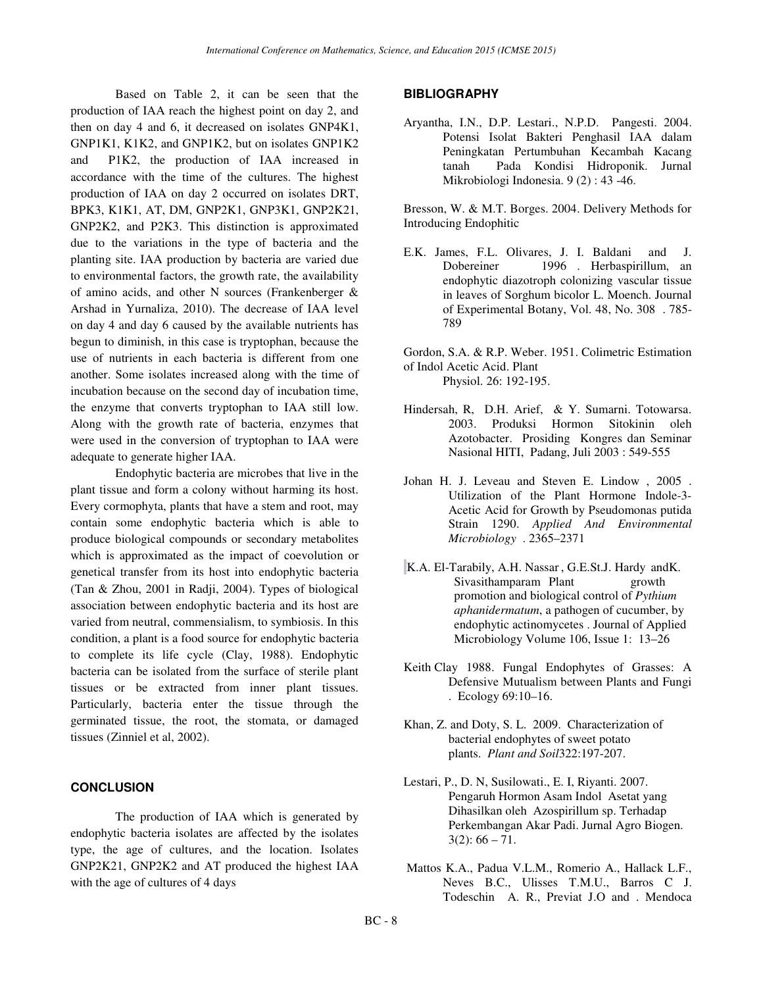Based on Table 2, it can be seen that the production of IAA reach the highest point on day 2, and then on day 4 and 6, it decreased on isolates GNP4K1, GNP1K1, K1K2, and GNP1K2, but on isolates GNP1K2 and P1K2, the production of IAA increased in accordance with the time of the cultures. The highest production of IAA on day 2 occurred on isolates DRT, BPK3, K1K1, AT, DM, GNP2K1, GNP3K1, GNP2K21, GNP2K2, and P2K3. This distinction is approximated due to the variations in the type of bacteria and the planting site. IAA production by bacteria are varied due to environmental factors, the growth rate, the availability of amino acids, and other N sources (Frankenberger & Arshad in Yurnaliza, 2010). The decrease of IAA level on day 4 and day 6 caused by the available nutrients has begun to diminish, in this case is tryptophan, because the use of nutrients in each bacteria is different from one another. Some isolates increased along with the time of incubation because on the second day of incubation time, the enzyme that converts tryptophan to IAA still low. Along with the growth rate of bacteria, enzymes that were used in the conversion of tryptophan to IAA were adequate to generate higher IAA.

Endophytic bacteria are microbes that live in the plant tissue and form a colony without harming its host. Every cormophyta, plants that have a stem and root, may contain some endophytic bacteria which is able to produce biological compounds or secondary metabolites which is approximated as the impact of coevolution or genetical transfer from its host into endophytic bacteria (Tan & Zhou, 2001 in Radji, 2004). Types of biological association between endophytic bacteria and its host are varied from neutral, commensialism, to symbiosis. In this condition, a plant is a food source for endophytic bacteria to complete its life cycle (Clay, 1988). Endophytic bacteria can be isolated from the surface of sterile plant tissues or be extracted from inner plant tissues. Particularly, bacteria enter the tissue through the germinated tissue, the root, the stomata, or damaged tissues (Zinniel et al, 2002).

## **CONCLUSION**

The production of IAA which is generated by endophytic bacteria isolates are affected by the isolates type, the age of cultures, and the location. Isolates GNP2K21, GNP2K2 and AT produced the highest IAA with the age of cultures of 4 days

#### **BIBLIOGRAPHY**

Aryantha, I.N., D.P. Lestari., N.P.D. Pangesti. 2004. Potensi Isolat Bakteri Penghasil IAA dalam Peningkatan Pertumbuhan Kecambah Kacang tanah Pada Kondisi Hidroponik. Jurnal Mikrobiologi Indonesia. 9 (2) : 43 -46.

Bresson, W. & M.T. Borges. 2004. Delivery Methods for Introducing Endophitic

E.K. James, F.L. Olivares, J. I. Baldani and J. Dobereiner 1996 . Herbaspirillum, an endophytic diazotroph colonizing vascular tissue in leaves of Sorghum bicolor L. Moench. Journal of Experimental Botany, Vol. 48, No. 308 . 785- 789

Gordon, S.A. & R.P. Weber. 1951. Colimetric Estimation of Indol Acetic Acid. Plant Physiol. 26: 192-195.

- Hindersah, R, D.H. Arief, & Y. Sumarni. Totowarsa. 2003. Produksi Hormon Sitokinin oleh Azotobacter. Prosiding Kongres dan Seminar Nasional HITI, Padang, Juli 2003 : 549-555
- Johan H. J. Leveau and Steven E. Lindow , 2005 . Utilization of the Plant Hormone Indole-3- Acetic Acid for Growth by Pseudomonas putida Strain 1290. *Applied And Environmental Microbiology* . 2365–2371
- K.A. El-Tarabily, A.H. Nassar , G.E.St.J. Hardy andK. Sivasithamparam Plant growth promotion and biological control of *Pythium aphanidermatum*, a pathogen of cucumber, by endophytic actinomycetes . Journal of Applied Microbiology Volume 106, Issue 1: 13–26
- Keith Clay 1988. Fungal Endophytes of Grasses: A Defensive Mutualism between Plants and Fungi . Ecology 69:10–16.
- Khan, Z. and Doty, S. L. 2009. Characterization of bacterial endophytes of sweet potato plants. *Plant and Soil*322:197-207.
- Lestari, P., D. N, Susilowati., E. I, Riyanti. 2007. Pengaruh Hormon Asam Indol Asetat yang Dihasilkan oleh Azospirillum sp. Terhadap Perkembangan Akar Padi. Jurnal Agro Biogen.  $3(2): 66 - 71.$
- Mattos K.A., Padua V.L.M., Romerio A., Hallack L.F., Neves B.C., Ulisses T.M.U., Barros C J. Todeschin A. R., Previat J.O and . Mendoca